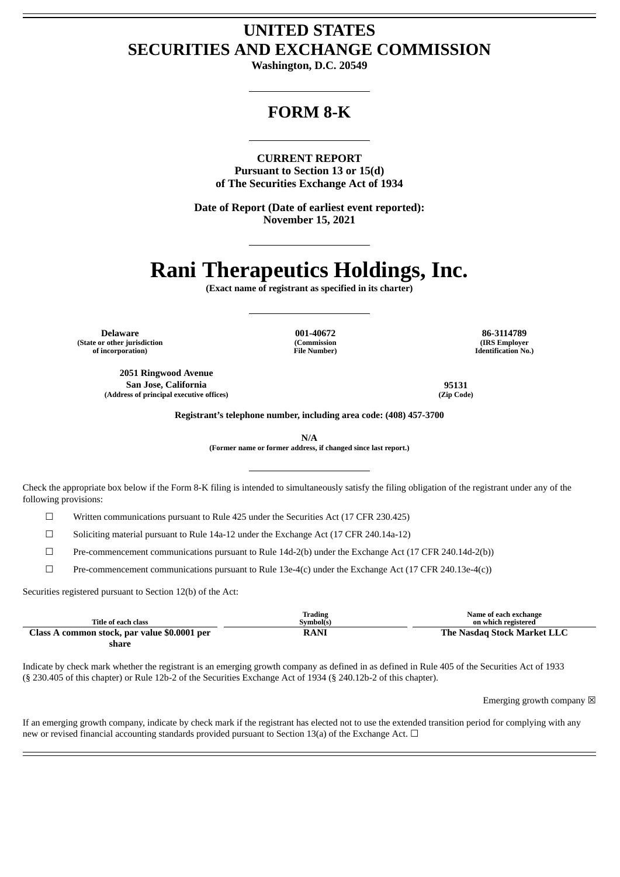# **UNITED STATES SECURITIES AND EXCHANGE COMMISSION**

**Washington, D.C. 20549**

# **FORM 8-K**

**CURRENT REPORT Pursuant to Section 13 or 15(d) of The Securities Exchange Act of 1934**

**Date of Report (Date of earliest event reported): November 15, 2021**

# **Rani Therapeutics Holdings, Inc.**

**(Exact name of registrant as specified in its charter)**

**(State or other jurisdiction of incorporation)**

> **2051 Ringwood Avenue San Jose, California 95131 (Address of principal executive offices) (Zip Code)**

**(Commission File Number)**

**Delaware 001-40672 86-3114789 (IRS Employer Identification No.)**

**Registrant's telephone number, including area code: (408) 457-3700**

**N/A**

**(Former name or former address, if changed since last report.)**

Check the appropriate box below if the Form 8-K filing is intended to simultaneously satisfy the filing obligation of the registrant under any of the following provisions:

☐ Written communications pursuant to Rule 425 under the Securities Act (17 CFR 230.425)

 $\Box$  Soliciting material pursuant to Rule 14a-12 under the Exchange Act (17 CFR 240.14a-12)

☐ Pre-commencement communications pursuant to Rule 14d-2(b) under the Exchange Act (17 CFR 240.14d-2(b))

 $\Box$  Pre-commencement communications pursuant to Rule 13e-4(c) under the Exchange Act (17 CFR 240.13e-4(c))

Securities registered pursuant to Section 12(b) of the Act:

| Title of each class                          | <b>Trading</b><br>Svmbol(s) | Name of each exchange<br>on which registered |
|----------------------------------------------|-----------------------------|----------------------------------------------|
| Class A common stock, par value \$0.0001 per | <b>RANI</b>                 | <b>The Nasdag Stock Market LLC</b>           |
| share                                        |                             |                                              |

Indicate by check mark whether the registrant is an emerging growth company as defined in as defined in Rule 405 of the Securities Act of 1933 (§ 230.405 of this chapter) or Rule 12b-2 of the Securities Exchange Act of 1934 (§ 240.12b-2 of this chapter).

Emerging growth company  $\boxtimes$ 

If an emerging growth company, indicate by check mark if the registrant has elected not to use the extended transition period for complying with any new or revised financial accounting standards provided pursuant to Section 13(a) of the Exchange Act.  $\Box$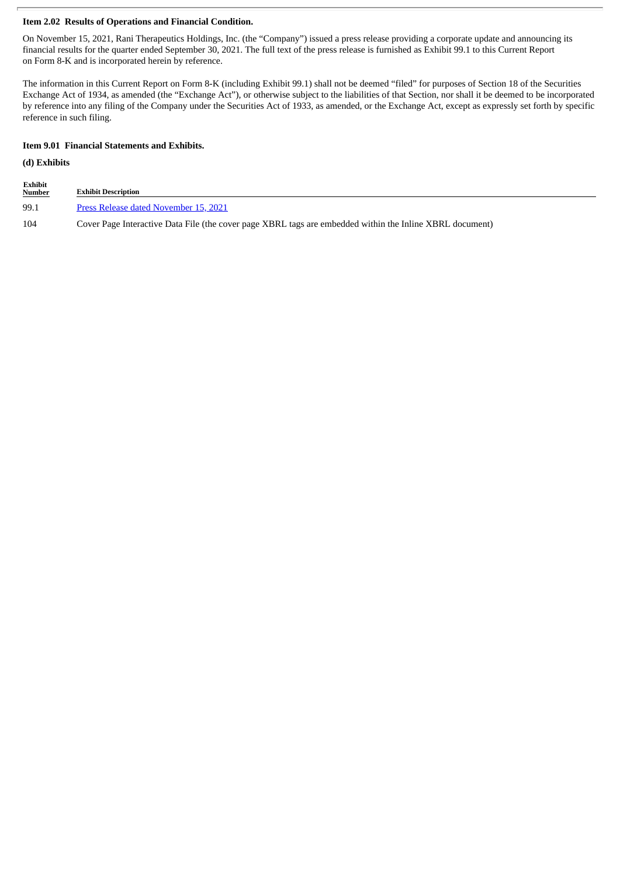## **Item 2.02 Results of Operations and Financial Condition.**

On November 15, 2021, Rani Therapeutics Holdings, Inc. (the "Company") issued a press release providing a corporate update and announcing its financial results for the quarter ended September 30, 2021. The full text of the press release is furnished as Exhibit 99.1 to this Current Report on Form 8-K and is incorporated herein by reference.

The information in this Current Report on Form 8-K (including Exhibit 99.1) shall not be deemed "filed" for purposes of Section 18 of the Securities Exchange Act of 1934, as amended (the "Exchange Act"), or otherwise subject to the liabilities of that Section, nor shall it be deemed to be incorporated by reference into any filing of the Company under the Securities Act of 1933, as amended, or the Exchange Act, except as expressly set forth by specific reference in such filing.

#### **Item 9.01 Financial Statements and Exhibits.**

#### **(d) Exhibits**

| Exhibit<br><b>Number</b> | <b>Exhibit Description</b>                                                                               |
|--------------------------|----------------------------------------------------------------------------------------------------------|
| 99.1                     | Press Release dated November 15, 2021                                                                    |
| 104                      | Cover Page Interactive Data File (the cover page XBRL tags are embedded within the Inline XBRL document) |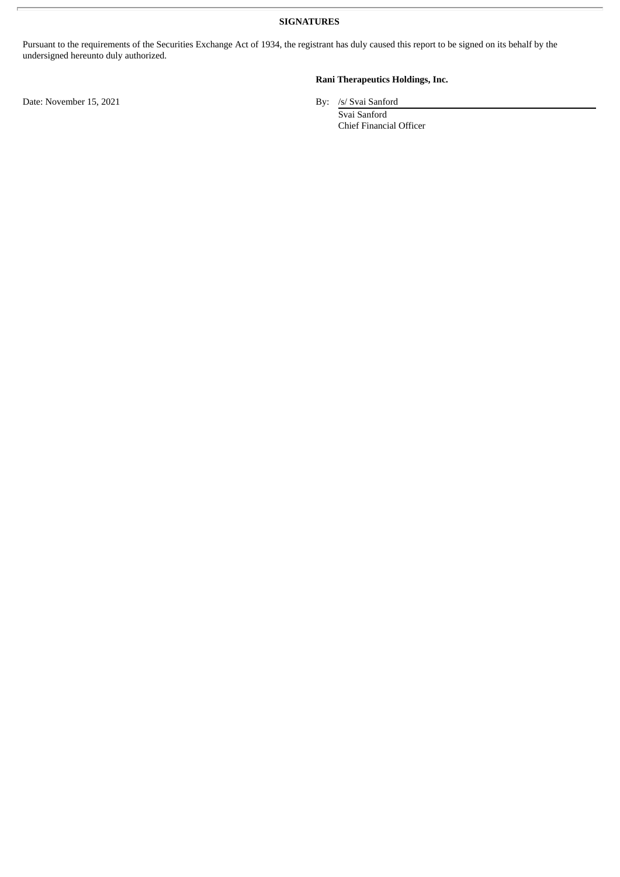**SIGNATURES**

Pursuant to the requirements of the Securities Exchange Act of 1934, the registrant has duly caused this report to be signed on its behalf by the undersigned hereunto duly authorized.

Date: November 15, 2021 By: /s/ Svai Sanford

## **Rani Therapeutics Holdings, Inc.**

Svai Sanford Chief Financial Officer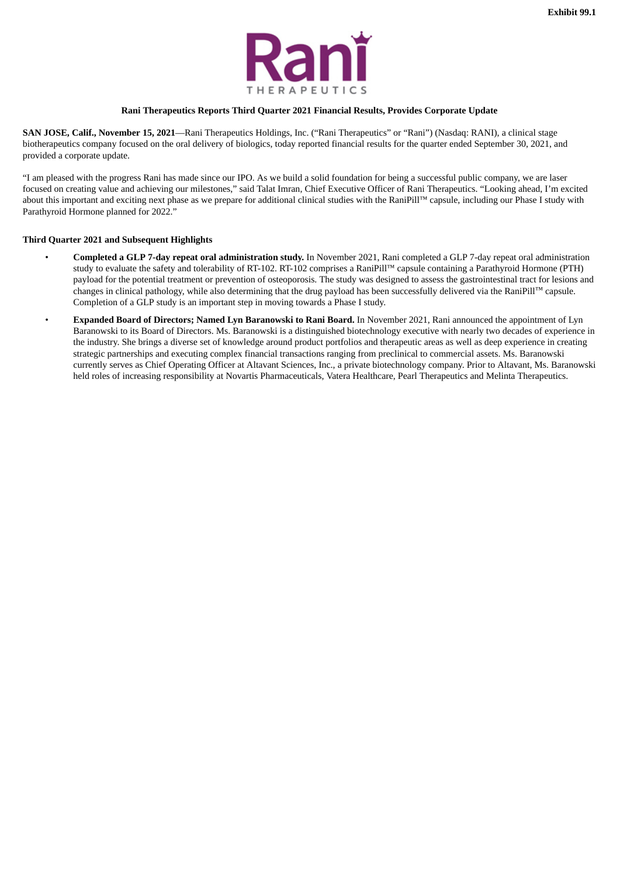

#### **Rani Therapeutics Reports Third Quarter 2021 Financial Results, Provides Corporate Update**

<span id="page-3-0"></span>**SAN JOSE, Calif., November 15, 2021**—Rani Therapeutics Holdings, Inc. ("Rani Therapeutics" or "Rani") (Nasdaq: RANI), a clinical stage biotherapeutics company focused on the oral delivery of biologics, today reported financial results for the quarter ended September 30, 2021, and provided a corporate update.

"I am pleased with the progress Rani has made since our IPO. As we build a solid foundation for being a successful public company, we are laser focused on creating value and achieving our milestones," said Talat Imran, Chief Executive Officer of Rani Therapeutics. "Looking ahead, I'm excited about this important and exciting next phase as we prepare for additional clinical studies with the RaniPill™ capsule, including our Phase I study with Parathyroid Hormone planned for 2022."

#### **Third Quarter 2021 and Subsequent Highlights**

- **Completed a GLP 7-day repeat oral administration study.** In November 2021, Rani completed a GLP 7-day repeat oral administration study to evaluate the safety and tolerability of RT-102. RT-102 comprises a RaniPill™ capsule containing a Parathyroid Hormone (PTH) payload for the potential treatment or prevention of osteoporosis. The study was designed to assess the gastrointestinal tract for lesions and changes in clinical pathology, while also determining that the drug payload has been successfully delivered via the RaniPill™ capsule. Completion of a GLP study is an important step in moving towards a Phase I study.
- **Expanded Board of Directors; Named Lyn Baranowski to Rani Board.** In November 2021, Rani announced the appointment of Lyn Baranowski to its Board of Directors. Ms. Baranowski is a distinguished biotechnology executive with nearly two decades of experience in the industry. She brings a diverse set of knowledge around product portfolios and therapeutic areas as well as deep experience in creating strategic partnerships and executing complex financial transactions ranging from preclinical to commercial assets. Ms. Baranowski currently serves as Chief Operating Officer at Altavant Sciences, Inc., a private biotechnology company. Prior to Altavant, Ms. Baranowski held roles of increasing responsibility at Novartis Pharmaceuticals, Vatera Healthcare, Pearl Therapeutics and Melinta Therapeutics.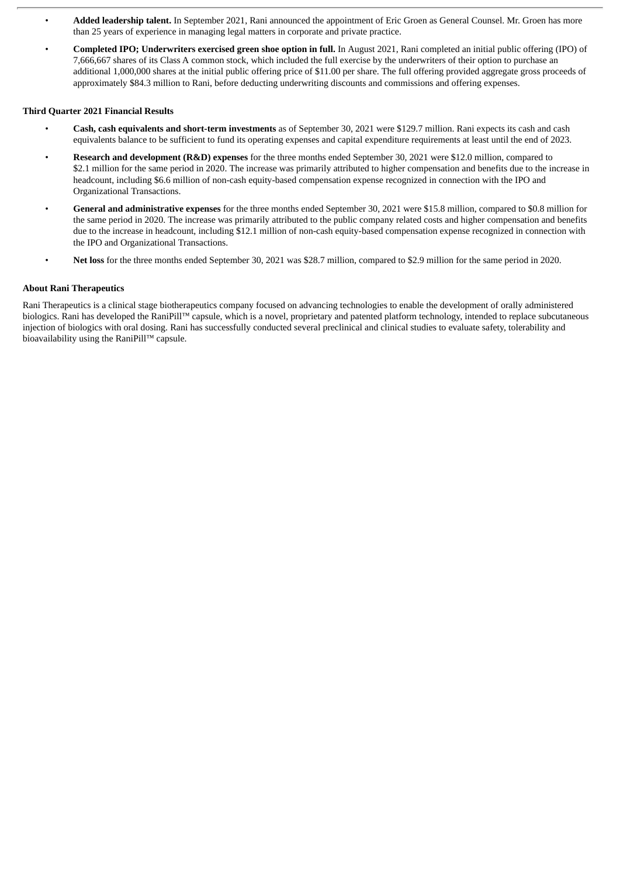- **Added leadership talent.** In September 2021, Rani announced the appointment of Eric Groen as General Counsel. Mr. Groen has more than 25 years of experience in managing legal matters in corporate and private practice.
- **Completed IPO; Underwriters exercised green shoe option in full.** In August 2021, Rani completed an initial public offering (IPO) of 7,666,667 shares of its Class A common stock, which included the full exercise by the underwriters of their option to purchase an additional 1,000,000 shares at the initial public offering price of \$11.00 per share. The full offering provided aggregate gross proceeds of approximately \$84.3 million to Rani, before deducting underwriting discounts and commissions and offering expenses.

#### **Third Quarter 2021 Financial Results**

- **Cash, cash equivalents and short-term investments** as of September 30, 2021 were \$129.7 million. Rani expects its cash and cash equivalents balance to be sufficient to fund its operating expenses and capital expenditure requirements at least until the end of 2023.
- **Research and development (R&D) expenses** for the three months ended September 30, 2021 were \$12.0 million, compared to \$2.1 million for the same period in 2020. The increase was primarily attributed to higher compensation and benefits due to the increase in headcount, including \$6.6 million of non-cash equity-based compensation expense recognized in connection with the IPO and Organizational Transactions.
- **General and administrative expenses** for the three months ended September 30, 2021 were \$15.8 million, compared to \$0.8 million for the same period in 2020. The increase was primarily attributed to the public company related costs and higher compensation and benefits due to the increase in headcount, including \$12.1 million of non-cash equity-based compensation expense recognized in connection with the IPO and Organizational Transactions.
- **Net loss** for the three months ended September 30, 2021 was \$28.7 million, compared to \$2.9 million for the same period in 2020.

#### **About Rani Therapeutics**

Rani Therapeutics is a clinical stage biotherapeutics company focused on advancing technologies to enable the development of orally administered biologics. Rani has developed the RaniPill™ capsule, which is a novel, proprietary and patented platform technology, intended to replace subcutaneous injection of biologics with oral dosing. Rani has successfully conducted several preclinical and clinical studies to evaluate safety, tolerability and bioavailability using the RaniPill™ capsule.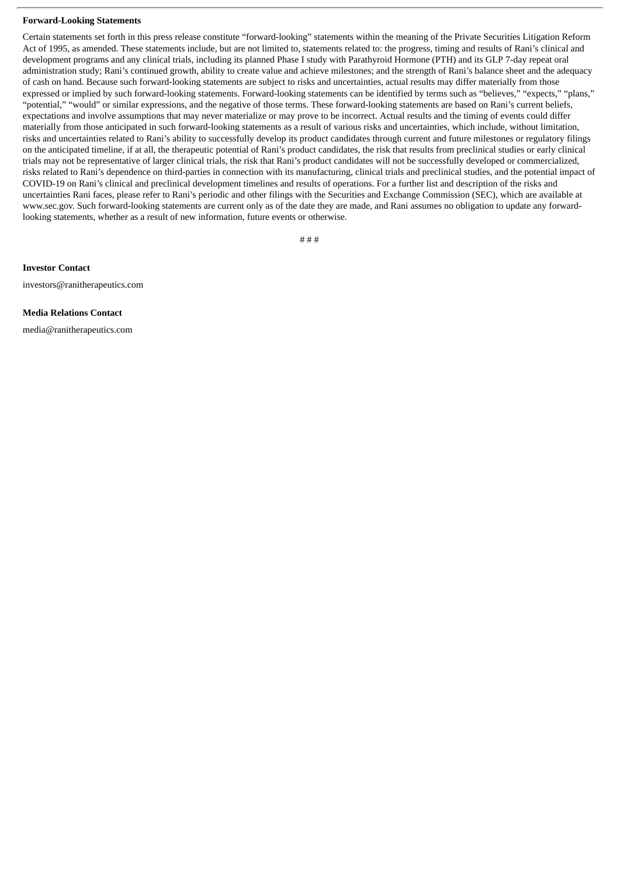#### **Forward-Looking Statements**

Certain statements set forth in this press release constitute "forward-looking" statements within the meaning of the Private Securities Litigation Reform Act of 1995, as amended. These statements include, but are not limited to, statements related to: the progress, timing and results of Rani's clinical and development programs and any clinical trials, including its planned Phase I study with Parathyroid Hormone (PTH) and its GLP 7-day repeat oral administration study; Rani's continued growth, ability to create value and achieve milestones; and the strength of Rani's balance sheet and the adequacy of cash on hand. Because such forward-looking statements are subject to risks and uncertainties, actual results may differ materially from those expressed or implied by such forward-looking statements. Forward-looking statements can be identified by terms such as "believes," "expects," "plans," "potential," "would" or similar expressions, and the negative of those terms. These forward-looking statements are based on Rani's current beliefs, expectations and involve assumptions that may never materialize or may prove to be incorrect. Actual results and the timing of events could differ materially from those anticipated in such forward-looking statements as a result of various risks and uncertainties, which include, without limitation, risks and uncertainties related to Rani's ability to successfully develop its product candidates through current and future milestones or regulatory filings on the anticipated timeline, if at all, the therapeutic potential of Rani's product candidates, the risk that results from preclinical studies or early clinical trials may not be representative of larger clinical trials, the risk that Rani's product candidates will not be successfully developed or commercialized, risks related to Rani's dependence on third-parties in connection with its manufacturing, clinical trials and preclinical studies, and the potential impact of COVID-19 on Rani's clinical and preclinical development timelines and results of operations. For a further list and description of the risks and uncertainties Rani faces, please refer to Rani's periodic and other filings with the Securities and Exchange Commission (SEC), which are available at www.sec.gov. Such forward-looking statements are current only as of the date they are made, and Rani assumes no obligation to update any forwardlooking statements, whether as a result of new information, future events or otherwise.

# # #

**Investor Contact**

investors@ranitherapeutics.com

#### **Media Relations Contact**

media@ranitherapeutics.com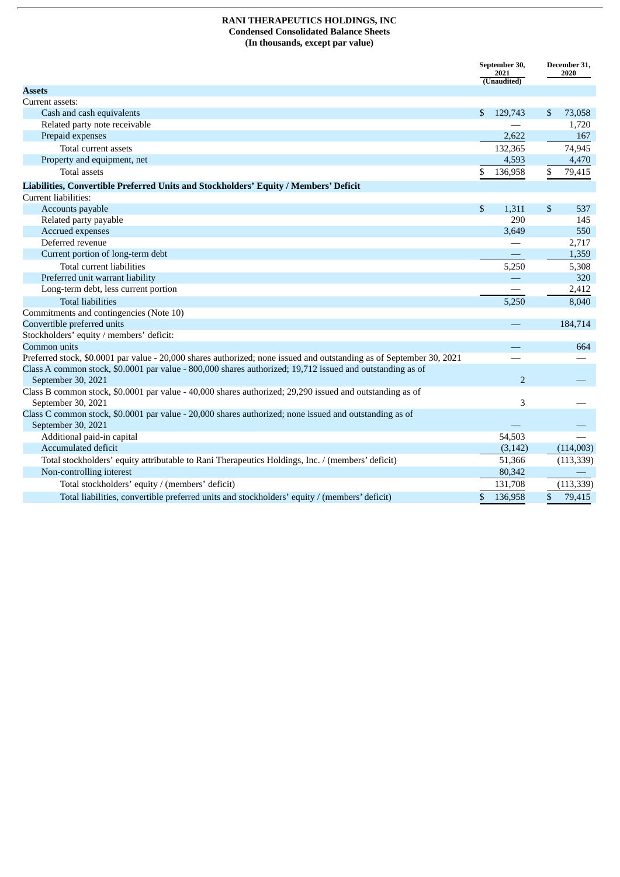### **RANI THERAPEUTICS HOLDINGS, INC Condensed Consolidated Balance Sheets (In thousands, except par value)**

|                                                                                                                              |    | September 30,<br>2021<br>(Unaudited) |    | December 31,<br>2020 |  |
|------------------------------------------------------------------------------------------------------------------------------|----|--------------------------------------|----|----------------------|--|
| <b>Assets</b>                                                                                                                |    |                                      |    |                      |  |
| Current assets:                                                                                                              |    |                                      |    |                      |  |
| Cash and cash equivalents                                                                                                    | \$ | 129,743                              | S  | 73,058               |  |
| Related party note receivable                                                                                                |    |                                      |    | 1,720                |  |
| Prepaid expenses                                                                                                             |    | 2,622                                |    | 167                  |  |
| Total current assets                                                                                                         |    | 132,365                              |    | 74,945               |  |
| Property and equipment, net                                                                                                  |    | 4,593                                |    | 4,470                |  |
| <b>Total assets</b>                                                                                                          | \$ | 136,958                              | \$ | 79,415               |  |
| Liabilities, Convertible Preferred Units and Stockholders' Equity / Members' Deficit                                         |    |                                      |    |                      |  |
| Current liabilities:                                                                                                         |    |                                      |    |                      |  |
| Accounts payable                                                                                                             | \$ | 1,311                                | \$ | 537                  |  |
| Related party payable                                                                                                        |    | 290                                  |    | 145                  |  |
| Accrued expenses                                                                                                             |    | 3,649                                |    | 550                  |  |
| Deferred revenue                                                                                                             |    |                                      |    | 2,717                |  |
| Current portion of long-term debt                                                                                            |    |                                      |    | 1,359                |  |
| Total current liabilities                                                                                                    |    | 5,250                                |    | 5,308                |  |
| Preferred unit warrant liability                                                                                             |    |                                      |    | 320                  |  |
| Long-term debt, less current portion                                                                                         |    |                                      |    | 2,412                |  |
| <b>Total liabilities</b>                                                                                                     |    | 5,250                                |    | 8,040                |  |
| Commitments and contingencies (Note 10)                                                                                      |    |                                      |    |                      |  |
| Convertible preferred units                                                                                                  |    |                                      |    | 184,714              |  |
| Stockholders' equity / members' deficit:                                                                                     |    |                                      |    |                      |  |
| Common units                                                                                                                 |    |                                      |    | 664                  |  |
| Preferred stock, \$0.0001 par value - 20,000 shares authorized; none issued and outstanding as of September 30, 2021         |    |                                      |    |                      |  |
| Class A common stock, \$0.0001 par value - 800,000 shares authorized; 19,712 issued and outstanding as of                    |    |                                      |    |                      |  |
| September 30, 2021                                                                                                           |    | $\overline{2}$                       |    |                      |  |
| Class B common stock, \$0.0001 par value - 40,000 shares authorized; 29,290 issued and outstanding as of                     |    |                                      |    |                      |  |
| September 30, 2021                                                                                                           |    | 3                                    |    |                      |  |
| Class C common stock, \$0.0001 par value - 20,000 shares authorized; none issued and outstanding as of<br>September 30, 2021 |    |                                      |    |                      |  |
| Additional paid-in capital                                                                                                   |    | 54,503                               |    |                      |  |
| Accumulated deficit                                                                                                          |    | (3, 142)                             |    | (114,003)            |  |
|                                                                                                                              |    |                                      |    |                      |  |
| Total stockholders' equity attributable to Rani Therapeutics Holdings, Inc. / (members' deficit)<br>Non-controlling interest |    | 51,366<br>80,342                     |    | (113, 339)           |  |
|                                                                                                                              |    |                                      |    |                      |  |
| Total stockholders' equity / (members' deficit)                                                                              |    | 131,708                              |    | (113, 339)           |  |
| Total liabilities, convertible preferred units and stockholders' equity / (members' deficit)                                 | \$ | 136,958                              | \$ | 79,415               |  |